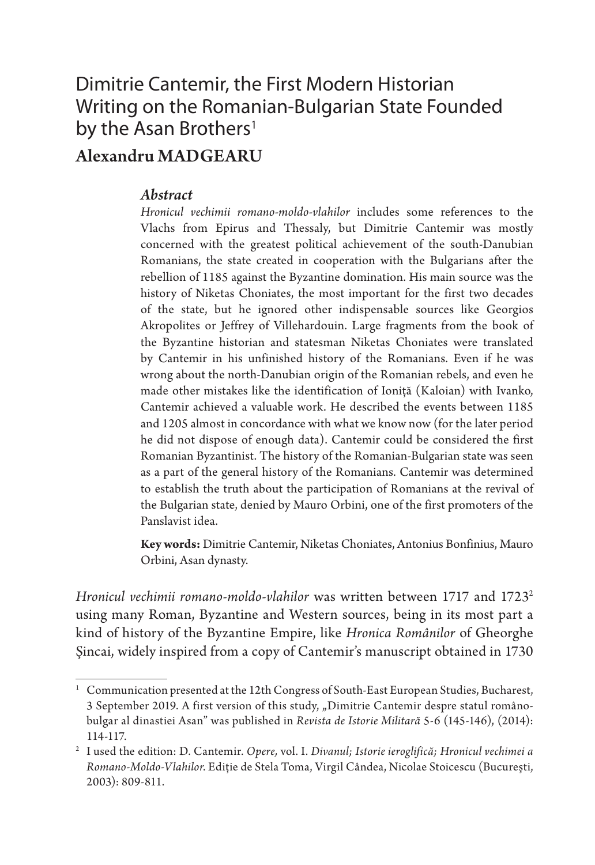### Dimitrie Cantemir, the First Modern Historian Writing on the Romanian-Bulgarian State Founded by the Asan Brothers<sup>1</sup>

### Alexandru MADGEARU

#### *Abstract*

*Hronicul vechimii romano-moldo-vlahilor* includes some references to the Vlachs from Epirus and Thessaly, but Dimitrie Cantemir was mostly concerned with the greatest political achievement of the south-Danubian Romanians, the state created in cooperation with the Bulgarians after the rebellion of 1185 against the Byzantine domination. His main source was the history of Niketas Choniates, the most important for the first two decades of the state, but he ignored other indispensable sources like Georgios Akropolites or Jeffrey of Villehardouin. Large fragments from the book of the Byzantine historian and statesman Niketas Choniates were translated by Cantemir in his unfinished history of the Romanians. Even if he was wrong about the north-Danubian origin of the Romanian rebels, and even he made other mistakes like the identification of Ioniţă (Kaloian) with Ivanko, Cantemir achieved a valuable work. He described the events between 1185 and 1205 almost in concordance with what we know now (for the later period he did not dispose of enough data). Cantemir could be considered the first Romanian Byzantinist. The history of the Romanian-Bulgarian state was seen as a part of the general history of the Romanians. Cantemir was determined to establish the truth about the participation of Romanians at the revival of the Bulgarian state, denied by Mauro Orbini, one of the first promoters of the Panslavist idea.

**Key words:** Dimitrie Cantemir, Niketas Choniates, Antonius Bonfinius, Mauro Orbini, Asan dynasty.

*Hronicul vechimii romano-moldo-vlahilor* was written between 1717 and 17232 using many Roman, Byzantine and Western sources, being in its most part a kind of history of the Byzantine Empire, like *Hronica Românilor* of Gheorghe Şincai, widely inspired from a copy of Cantemir's manuscript obtained in 1730

<sup>1</sup> Communication presented at the 12th Congress of South-East European Studies, Bucharest, 3 September 2019. A first version of this study, "Dimitrie Cantemir despre statul românobulgar al dinastiei Asan" was published in *Revista de Istorie Militară* 5-6 (145-146), (2014): 114-117.

<sup>2</sup> I used the edition: D. Cantemir. *Opere,* vol. I. *Divanul; Istorie ieroglifică; Hronicul vechimei a Romano-Moldo-Vlahilor*. Ediţie de Stela Toma, Virgil Cândea, Nicolae Stoicescu (Bucureşti, 2003): 809-811.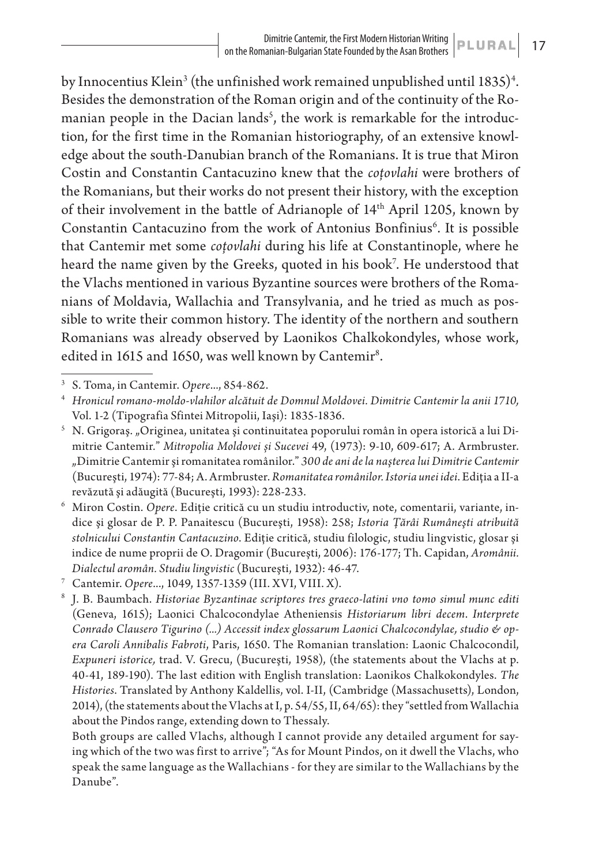by Innocentius Klein<sup>3</sup> (the unfinished work remained unpublished until  $1835$ )<sup>4</sup>. Besides the demonstration of the Roman origin and of the continuity of the Romanian people in the Dacian lands $^5$ , the work is remarkable for the introduction, for the first time in the Romanian historiography, of an extensive knowledge about the south-Danubian branch of the Romanians. It is true that Miron Costin and Constantin Cantacuzino knew that the *coţovlahi* were brothers of the Romanians, but their works do not present their history, with the exception of their involvement in the battle of Adrianople of 14th April 1205, known by Constantin Cantacuzino from the work of Antonius Bonfinius<sup>6</sup>. It is possible that Cantemir met some *coţovlahi* during his life at Constantinople, where he heard the name given by the Greeks, quoted in his book7 . He understood that the Vlachs mentioned in various Byzantine sources were brothers of the Romanians of Moldavia, Wallachia and Transylvania, and he tried as much as possible to write their common history. The identity of the northern and southern Romanians was already observed by Laonikos Chalkokondyles, whose work, edited in 1615 and 1650, was well known by Cantemir<sup>8</sup>.

Both groups are called Vlachs, although I cannot provide any detailed argument for saying which of the two was first to arrive"; "As for Mount Pindos, on it dwell the Vlachs, who speak the same language as the Wallachians - for they are similar to the Wallachians by the Danube".

<sup>3</sup> S. Toma, in Cantemir. *Opere*..., 854-862.

<sup>4</sup> *Hronicul romano-moldo-vlahilor alcătuit de Domnul Moldovei. Dimitrie Cantemir la anii 1710,* Vol. 1-2 (Tipografia Sfintei Mitropolii, Iaşi): 1835*-*1836.

<sup>&</sup>lt;sup>5</sup> N. Grigoraș. "Originea, unitatea și continuitatea poporului român în opera istorică a lui Dimitrie Cantemir*.*" *Mitropolia Moldovei și Sucevei* 49, (1973): 9-10, 609-617; A. Armbruster. "Dimitrie Cantemir şi romanitatea românilor." *300 de ani de la naşterea lui Dimitrie Cantemir*  (Bucureşti, 1974): 77-84; A. Armbruster. *Romanitatea românilor. Istoria unei idei*. Ediţia a II-a revăzută şi adăugită (Bucureşti, 1993): 228-233.

<sup>6</sup> Miron Costin. *Opere*. Ediţie critică cu un studiu introductiv, note, comentarii, variante, indice şi glosar de P. P. Panaitescu (Bucureşti, 1958): 258; *Istoria Ţărâi Rumâneşti atribuită stolnicului Constantin Cantacuzino*. Ediţie critică, studiu filologic, studiu lingvistic, glosar şi indice de nume proprii de O. Dragomir (Bucureşti, 2006): 176-177; Th. Capidan, *Aromânii. Dialectul aromân. Studiu lingvistic* (Bucureşti, 1932): 46-47.

<sup>7</sup> Cantemir. *Opere*..., 1049, 1357-1359 (III. XVI, VIII. X).

<sup>8</sup> J. B. Baumbach. *Historiae Byzantinae scriptores tres graeco-latini vno tomo simul munc editi*  (Geneva, 1615); Laonici Chalcocondylae Atheniensis *Historiarum libri decem*. *Interprete Conrado Clausero Tigurino (...) Accessit index glossarum Laonici Chalcocondylae, studio & opera Caroli Annibalis Fabroti*, Paris, 1650. The Romanian translation: Laonic Chalcocondil, *Expuneri istorice,* trad. V. Grecu, (Bucureşti, 1958), (the statements about the Vlachs at p. 40-41, 189-190). The last edition with English translation: Laonikos Chalkokondyles. *The Histories*. Translated by Anthony Kaldellis, vol. I-II, (Cambridge (Massachusetts), London, 2014), (the statements about the Vlachs at I, p. 54/55, II, 64/65): they "settled from Wallachia about the Pindos range, extending down to Thessaly.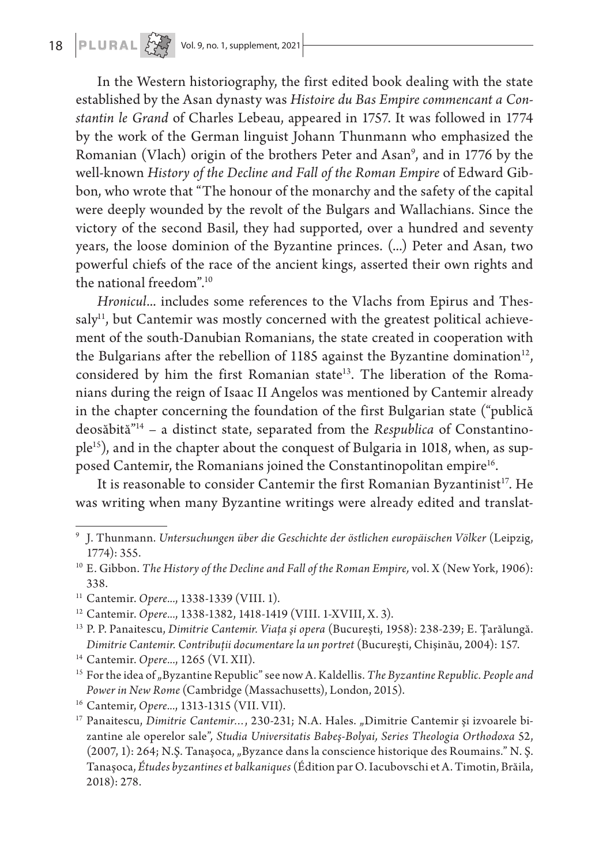## **18 PLURAL**  $\frac{1}{2}$  Vol. 9, no. 1, supplement, 2021

In the Western historiography, the first edited book dealing with the state established by the Asan dynasty was *Histoire du Bas Empire commencant a Constantin le Grand* of Charles Lebeau, appeared in 1757. It was followed in 1774 by the work of the German linguist Johann Thunmann who emphasized the Romanian (Vlach) origin of the brothers Peter and Asan9 , and in 1776 by the well-known *History of the Decline and Fall of the Roman Empire* of Edward Gibbon, who wrote that "The honour of the monarchy and the safety of the capital were deeply wounded by the revolt of the Bulgars and Wallachians. Since the victory of the second Basil, they had supported, over a hundred and seventy years, the loose dominion of the Byzantine princes. (...) Peter and Asan, two powerful chiefs of the race of the ancient kings, asserted their own rights and the national freedom".10

*Hronicul*... includes some references to the Vlachs from Epirus and Thessaly<sup>11</sup>, but Cantemir was mostly concerned with the greatest political achievement of the south-Danubian Romanians, the state created in cooperation with the Bulgarians after the rebellion of 1185 against the Byzantine domination<sup>12</sup>, considered by him the first Romanian state<sup>13</sup>. The liberation of the Romanians during the reign of Isaac II Angelos was mentioned by Cantemir already in the chapter concerning the foundation of the first Bulgarian state ("publică deosăbită"14 – a distinct state, separated from the *Respublica* of Constantinople<sup>15</sup>), and in the chapter about the conquest of Bulgaria in 1018, when, as supposed Cantemir, the Romanians joined the Constantinopolitan empire<sup>16</sup>.

It is reasonable to consider Cantemir the first Romanian Byzantinist<sup>17</sup>. He was writing when many Byzantine writings were already edited and translat-

<sup>14</sup> Cantemir. *Opere...*, 1265 (VI. XII).

<sup>16</sup> Cantemir, *Opere...*, 1313-1315 (VII. VII).

<sup>9</sup> J. Thunmann. *Untersuchungen über die Geschichte der östlichen europäischen Völker* (Leipzig, 1774): 355.

<sup>10</sup> E. Gibbon. *The History of the Decline and Fall of the Roman Empire,* vol. X (New York, 1906): 338.

<sup>11</sup> Cantemir. *Opere...*, 1338-1339 (VIII. 1).

<sup>12</sup> Cantemir. *Opere...*, 1338-1382, 1418-1419 (VIII. 1-XVIII, X. 3).

<sup>13</sup> P. P. Panaitescu, *Dimitrie Cantemir. Viaţa şi opera* (Bucureşti, 1958): 238-239; E. Ţarălungă. *Dimitrie Cantemir. Contribuţii documentare la un portret* (Bucureşti, Chişinău, 2004): 157.

<sup>&</sup>lt;sup>15</sup> For the idea of "Byzantine Republic" see now A. Kaldellis. *The Byzantine Republic. People and Power in New Rome* (Cambridge (Massachusetts), London, 2015).

<sup>&</sup>lt;sup>17</sup> Panaitescu, *Dimitrie Cantemir...*, 230-231; N.A. Hales. "Dimitrie Cantemir și izvoarele bizantine ale operelor sale"*, Studia Universitatis Babeş-Bolyai, Series Theologia Orthodoxa* 52, (2007, 1): 264; N.Ş. Tanaşoca, "Byzance dans la conscience historique des Roumains." N. Ş. Tanaşoca, *Études byzantines et balkaniques* (Édition par O. Iacubovschi et A. Timotin, Brăila, 2018): 278.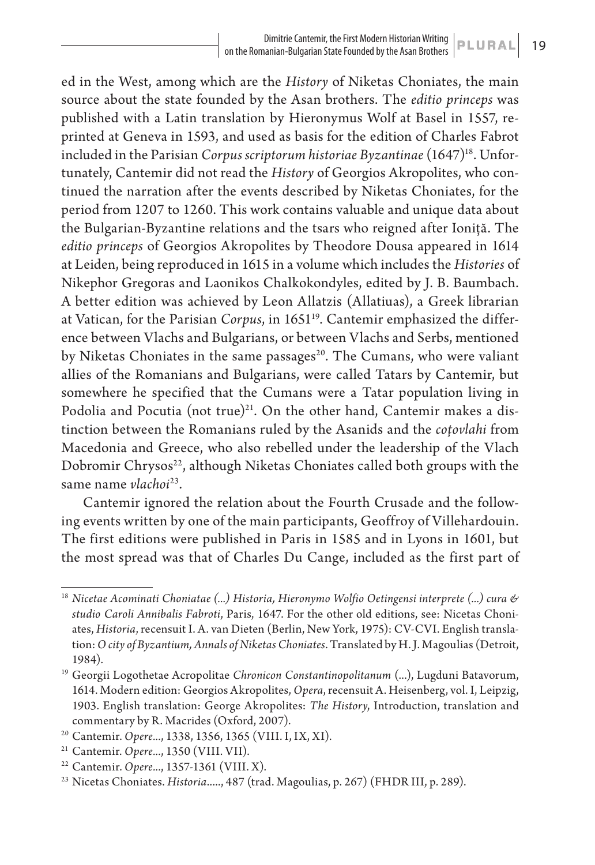ed in the West, among which are the *History* of Niketas Choniates, the main source about the state founded by the Asan brothers. The *editio princeps* was published with a Latin translation by Hieronymus Wolf at Basel in 1557, reprinted at Geneva in 1593, and used as basis for the edition of Charles Fabrot included in the Parisian *Corpus scriptorum historiae Byzantinae* (1647)<sup>18</sup>. Unfortunately, Cantemir did not read the *History* of Georgios Akropolites, who continued the narration after the events described by Niketas Choniates, for the period from 1207 to 1260. This work contains valuable and unique data about the Bulgarian-Byzantine relations and the tsars who reigned after Ioniţă. The *editio princeps* of Georgios Akropolites by Theodore Dousa appeared in 1614 at Leiden, being reproduced in 1615 in a volume which includes the *Histories* of Nikephor Gregoras and Laonikos Chalkokondyles, edited by J. B. Baumbach. A better edition was achieved by Leon Allatzis (Allatiuas), a Greek librarian at Vatican, for the Parisian *Corpus*, in 1651<sup>19</sup>. Cantemir emphasized the difference between Vlachs and Bulgarians, or between Vlachs and Serbs, mentioned by Niketas Choniates in the same passages<sup>20</sup>. The Cumans, who were valiant allies of the Romanians and Bulgarians, were called Tatars by Cantemir, but somewhere he specified that the Cumans were a Tatar population living in Podolia and Pocutia (not true) $^{21}$ . On the other hand, Cantemir makes a distinction between the Romanians ruled by the Asanids and the *coţovlahi* from Macedonia and Greece, who also rebelled under the leadership of the Vlach Dobromir Chrysos<sup>22</sup>, although Niketas Choniates called both groups with the same name *vlachoi*23.

Cantemir ignored the relation about the Fourth Crusade and the following events written by one of the main participants, Geoffroy of Villehardouin. The first editions were published in Paris in 1585 and in Lyons in 1601, but the most spread was that of Charles Du Cange, included as the first part of

<sup>18</sup> *Nicetae Acominati Choniatae (...) Historia, Hieronymo Wolfio Oetingensi interprete (...) cura & studio Caroli Annibalis Fabroti*, Paris, 1647. For the other old editions, see: Nicetas Choniates, *Historia*, recensuit I. A. van Dieten (Berlin, New York, 1975): CV-CVI. English translation: *O city of Byzantium, Annals of Niketas Choniates*. Translated by H. J. Magoulias (Detroit, 1984).

<sup>19</sup> Georgii Logothetae Acropolitae *Chronicon Constantinopolitanum* (...), Lugduni Batavorum, 1614. Modern edition: Georgios Akropolites, *Opera*, recensuit A. Heisenberg, vol. I, Leipzig, 1903. English translation: George Akropolites: *The History*, Introduction, translation and commentary by R. Macrides (Oxford, 2007).

<sup>20</sup> Cantemir. *Opere...*, 1338, 1356, 1365 (VIII. I, IX, XI).

<sup>&</sup>lt;sup>21</sup> Cantemir. Opere..., 1350 (VIII. VII).

<sup>22</sup> Cantemir. *Opere...*, 1357-1361 (VIII. X).

<sup>&</sup>lt;sup>23</sup> Nicetas Choniates. *Historia.....*, 487 (trad. Magoulias, p. 267) (FHDR III, p. 289).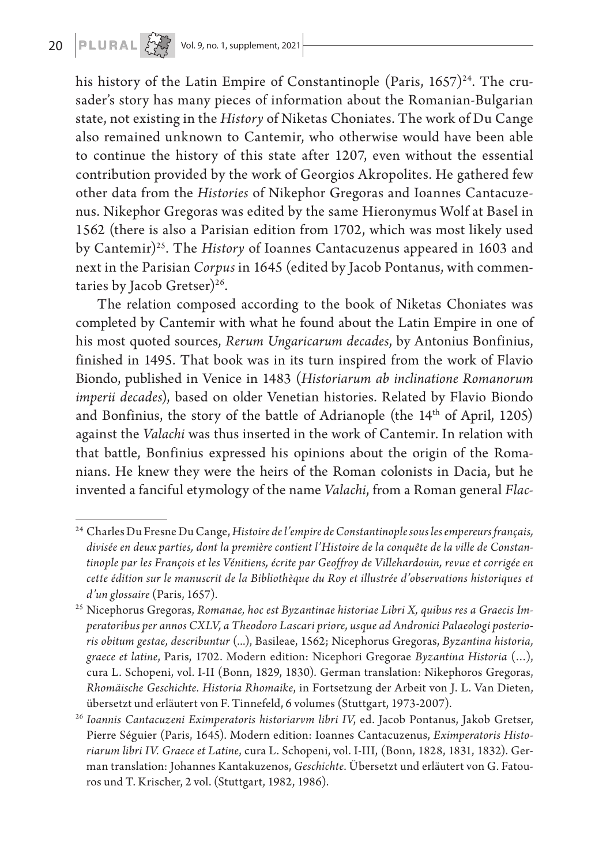his history of the Latin Empire of Constantinople (Paris,  $1657)^{24}$ . The crusader's story has many pieces of information about the Romanian-Bulgarian state, not existing in the *History* of Niketas Choniates. The work of Du Cange also remained unknown to Cantemir, who otherwise would have been able to continue the history of this state after 1207, even without the essential contribution provided by the work of Georgios Akropolites. He gathered few other data from the *Histories* of Nikephor Gregoras and Ioannes Cantacuzenus. Nikephor Gregoras was edited by the same Hieronymus Wolf at Basel in 1562 (there is also a Parisian edition from 1702, which was most likely used by Cantemir)25. The *History* of Ioannes Cantacuzenus appeared in 1603 and next in the Parisian *Corpus* in 1645 (edited by Jacob Pontanus, with commentaries by Jacob Gretser)<sup>26</sup>.

The relation composed according to the book of Niketas Choniates was completed by Cantemir with what he found about the Latin Empire in one of his most quoted sources, *Rerum Ungaricarum decades*, by Antonius Bonfinius, finished in 1495. That book was in its turn inspired from the work of Flavio Biondo, published in Venice in 1483 (*Historiarum ab inclinatione Romanorum imperii decades*), based on older Venetian histories. Related by Flavio Biondo and Bonfinius, the story of the battle of Adrianople (the 14<sup>th</sup> of April, 1205) against the *Valachi* was thus inserted in the work of Cantemir. In relation with that battle, Bonfinius expressed his opinions about the origin of the Romanians. He knew they were the heirs of the Roman colonists in Dacia, but he invented a fanciful etymology of the name *Valachi*, from a Roman general *Flac-*

<sup>24</sup> Charles Du Fresne Du Cange, *Histoire de l'empire de Constantinople sous les empereurs français, divisée en deux parties, dont la première contient l'Histoire de la conquête de la ville de Constantinople par les François et les Vénitiens, écrite par Geoffroy de Villehardouin, revue et corrigée en cette édition sur le manuscrit de la Bibliothèque du Roy et illustrée d'observations historiques et d'un glossaire* (Paris, 1657).

<sup>25</sup> Nicephorus Gregoras, *Romanae, hoc est Byzantinae historiae Libri X, quibus res a Graecis Imperatoribus per annos CXLV, a Theodoro Lascari priore, usque ad Andronici Palaeologi posterioris obitum gestae, describuntur* (...), Basileae, 1562; Nicephorus Gregoras, *Byzantina historia, graece et latine*, Paris, 1702. Modern edition: Nicephori Gregorae *Byzantina Historia* (…), cura L. Schopeni, vol. I-II (Bonn, 1829, 1830). German translation: Nikephoros Gregoras, *Rhomäische Geschichte. Historia Rhomaike*, in Fortsetzung der Arbeit von J. L. Van Dieten, übersetzt und erläutert von F. Tinnefeld, 6 volumes (Stuttgart, 1973-2007).

<sup>26</sup> *Ioannis Cantacuzeni Eximperatoris historiarvm libri IV*, ed. Jacob Pontanus, Jakob Gretser, Pierre Séguier (Paris, 1645). Modern edition: Ioannes Cantacuzenus, *Eximperatoris Historiarum libri IV. Graece et Latine*, cura L. Schopeni, vol. I-III, (Bonn, 1828, 1831, 1832). German translation: Johannes Kantakuzenos, *Geschichte*. Übersetzt und erläutert von G. Fatouros und T. Krischer, 2 vol. (Stuttgart, 1982, 1986).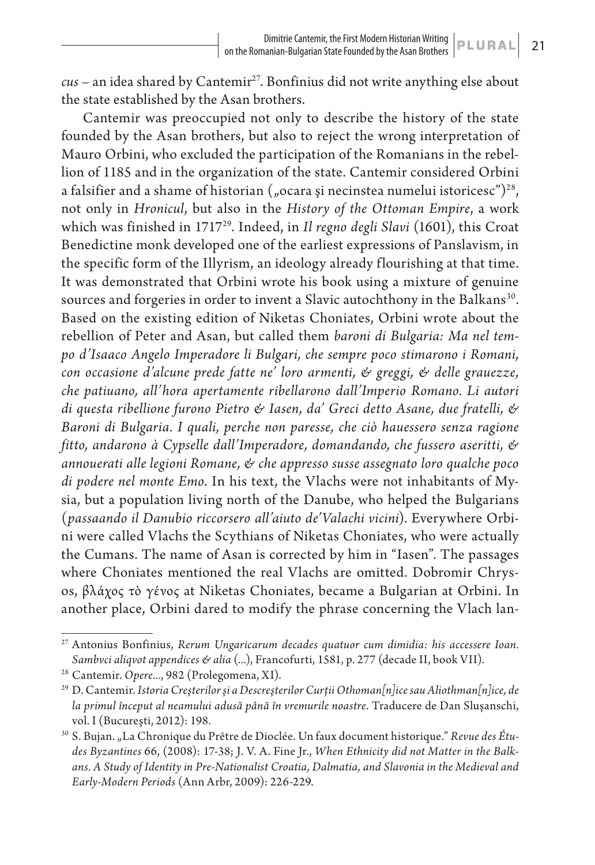*cus* – an idea shared by Cantemir<sup>27</sup>. Bonfinius did not write anything else about the state established by the Asan brothers.

Cantemir was preoccupied not only to describe the history of the state founded by the Asan brothers, but also to reject the wrong interpretation of Mauro Orbini, who excluded the participation of the Romanians in the rebellion of 1185 and in the organization of the state. Cantemir considered Orbini a falsifier and a shame of historian  $($ "ocara și necinstea numelui istoricesc" $)^{28}$ , not only in *Hronicul*, but also in the *History of the Ottoman Empire*, a work which was finished in 1717<sup>29</sup>. Indeed, in *Il regno degli Slavi* (1601), this Croat Benedictine monk developed one of the earliest expressions of Panslavism, in the specific form of the Illyrism, an ideology already flourishing at that time. It was demonstrated that Orbini wrote his book using a mixture of genuine sources and forgeries in order to invent a Slavic autochthony in the Balkans<sup>30</sup>. Based on the existing edition of Niketas Choniates, Orbini wrote about the rebellion of Peter and Asan, but called them *baroni di Bulgaria: Ma nel tempo d'Isaaco Angelo Imperadore li Bulgari, che sempre poco stimarono i Romani, con occasione d'alcune prede fatte ne' loro armenti, & greggi, & delle grauezze, che patiuano, all'hora apertamente ribellarono dall'Imperio Romano. Li autori di questa ribellione furono Pietro & Iasen, da' Greci detto Asane, due fratelli, & Baroni di Bulgaria. I quali, perche non paresse, che ciò hauessero senza ragione fitto, andarono à Cypselle dall'Imperadore, domandando, che fussero aseritti, & annouerati alle legioni Romane, & che appresso susse assegnato loro qualche poco di podere nel monte Emo*. In his text, the Vlachs were not inhabitants of Mysia, but a population living north of the Danube, who helped the Bulgarians (*passaando il Danubio riccorsero all'aiuto de'Valachi vicini*). Everywhere Orbini were called Vlachs the Scythians of Niketas Choniates, who were actually the Cumans. The name of Asan is corrected by him in "Iasen". The passages where Choniates mentioned the real Vlachs are omitted. Dobromir Chrysos, βλάχος τὸ γένος at Niketas Choniates, became a Bulgarian at Orbini. In another place, Orbini dared to modify the phrase concerning the Vlach lan-

<sup>27</sup> Antonius Bonfinius, *Rerum Ungaricarum decades quatuor cum dimidia: his accessere Ioan. Sambvci aliqvot appendices & alia* (...), Francofurti, 1581, p. 277 (decade II, book VII).

<sup>28</sup> Cantemir. *Opere...*, 982 (Prolegomena, XI).

<sup>29</sup> D. Cantemir. *Istoria Creşterilor şi a Descreşterilor Curţii Othoman[n]ice sau Aliothman[n]ice, de la primul început al neamului adusă până în vremurile noastre*. Traducere de Dan Sluşanschi, vol. I (Bucureşti, 2012): 198.

<sup>&</sup>lt;sup>30</sup> S. Bujan. "La Chronique du Prêtre de Dioclée. Un faux document historique." Revue des Étu*des Byzantines* 66, (2008): 17-38; J. V. A. Fine Jr., *When Ethnicity did not Matter in the Balkans. A Study of Identity in Pre-Nationalist Croatia, Dalmatia, and Slavonia in the Medieval and Early-Modern Periods* (Ann Arbr, 2009): 226-229.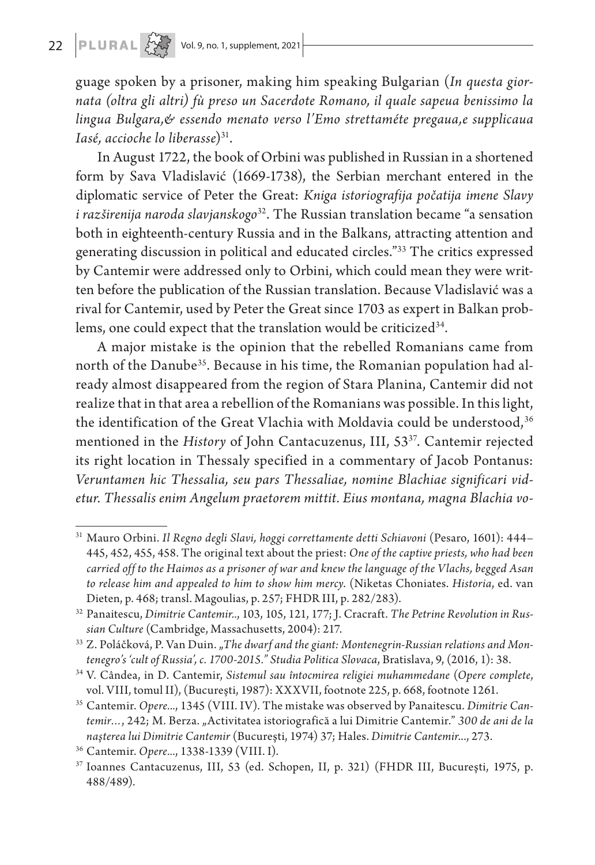# 22  $\boxed{\mathsf{PLURAL} \left[\begin{matrix} 1 & 2 \\ 2 & 3 \end{matrix} \right]}$  Vol. 9, no. 1, supplement, 2021

guage spoken by a prisoner, making him speaking Bulgarian (*In questa giornata (oltra gli altri) fù preso un Sacerdote Romano, il quale sapeua benissimo la lingua Bulgara,& essendo menato verso l'Emo strettaméte pregaua,e supplicaua Iasé, accioche lo liberasse*)31.

In August 1722, the book of Orbini was published in Russian in a shortened form by Sava Vladislavić (1669-1738), the Serbian merchant entered in the diplomatic service of Peter the Great: *Kniga istoriografija počatija imene Slavy i razširenija naroda slavjanskogo*32. The Russian translation became "a sensation both in eighteenth-century Russia and in the Balkans, attracting attention and generating discussion in political and educated circles."33 The critics expressed by Cantemir were addressed only to Orbini, which could mean they were written before the publication of the Russian translation. Because Vladislavić was a rival for Cantemir, used by Peter the Great since 1703 as expert in Balkan problems, one could expect that the translation would be criticized<sup>34</sup>.

A major mistake is the opinion that the rebelled Romanians came from north of the Danube<sup>35</sup>. Because in his time, the Romanian population had already almost disappeared from the region of Stara Planina, Cantemir did not realize that in that area a rebellion of the Romanians was possible. In this light, the identification of the Great Vlachia with Moldavia could be understood,<sup>36</sup> mentioned in the *History* of John Cantacuzenus, III, 5337. Cantemir rejected its right location in Thessaly specified in a commentary of Jacob Pontanus: *Veruntamen hic Thessalia, seu pars Thessaliae, nomine Blachiae significari videtur. Thessalis enim Angelum praetorem mittit. Eius montana, magna Blachia vo-*

<sup>31</sup> Mauro Orbini. *Il Regno degli Slavi, hoggi correttamente detti Schiavoni* (Pesaro, 1601): 444– 445, 452, 455, 458. The original text about the priest: *One of the captive priests, who had been carried off to the Haimos as a prisoner of war and knew the language of the Vlachs, begged Asan to release him and appealed to him to show him mercy*. (Niketas Choniates. *Historia*, ed. van Dieten, p. 468; transl. Magoulias, p. 257; FHDR III, p. 282/283).

<sup>32</sup> Panaitescu, *Dimitrie Cantemir..*, 103, 105, 121, 177; J. Cracraft. *The Petrine Revolution in Russian Culture* (Cambridge, Massachusetts, 2004): 217.

<sup>&</sup>lt;sup>33</sup> Z. Poláčková, P. Van Duin. "*The dwarf and the giant: Montenegrin-Russian relations and Montenegro's 'cult of Russia', c. 1700-2015." Studia Politica Slovaca*, Bratislava, 9, (2016, 1): 38.

<sup>34</sup> V. Cândea, in D. Cantemir, *Sistemul sau întocmirea religiei muhammedane* (*Opere complete*, vol. VIII, tomul II), (Bucureşti, 1987): XXXVII, footnote 225, p. 668, footnote 1261.

<sup>35</sup> Cantemir. *Opere...*, 1345 (VIII. IV). The mistake was observed by Panaitescu. *Dimitrie Cantemir…*, 242; M. Berza. "Activitatea istoriografică a lui Dimitrie Cantemir." *300 de ani de la naşterea lui Dimitrie Cantemir* (Bucureşti, 1974) 37; Hales. *Dimitrie Cantemir*..., 273.

<sup>36</sup> Cantemir. *Opere...*, 1338-1339 (VIII. I).

<sup>37</sup> Ioannes Cantacuzenus, III, 53 (ed. Schopen, II, p. 321) (FHDR III, Bucureşti, 1975, p. 488/489).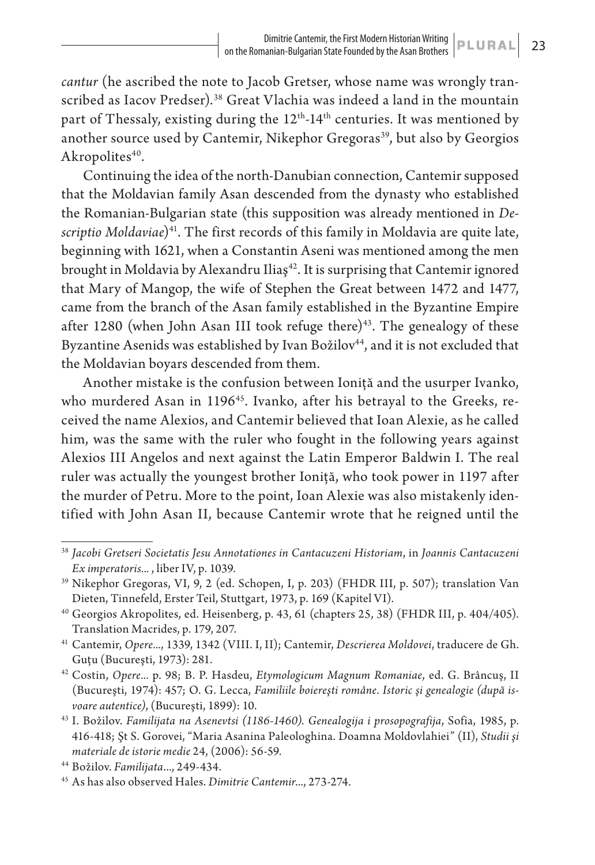*cantur* (he ascribed the note to Jacob Gretser, whose name was wrongly transcribed as Iacov Predser).<sup>38</sup> Great Vlachia was indeed a land in the mountain part of Thessaly, existing during the 12<sup>th</sup>-14<sup>th</sup> centuries. It was mentioned by another source used by Cantemir, Nikephor Gregoras<sup>39</sup>, but also by Georgios Akropolites<sup>40</sup>.

Continuing the idea of the north-Danubian connection, Cantemir supposed that the Moldavian family Asan descended from the dynasty who established the Romanian-Bulgarian state (this supposition was already mentioned in *Descriptio Moldaviae*)<sup>41</sup>. The first records of this family in Moldavia are quite late, beginning with 1621, when a Constantin Aseni was mentioned among the men brought in Moldavia by Alexandru Iliaș<sup>42</sup>. It is surprising that Cantemir ignored that Mary of Mangop, the wife of Stephen the Great between 1472 and 1477, came from the branch of the Asan family established in the Byzantine Empire after 1280 (when John Asan III took refuge there)<sup>43</sup>. The genealogy of these Byzantine Asenids was established by Ivan Božilov<sup>44</sup>, and it is not excluded that the Moldavian boyars descended from them.

Another mistake is the confusion between Ioniţă and the usurper Ivanko, who murdered Asan in 1196<sup>45</sup>. Ivanko, after his betrayal to the Greeks, received the name Alexios, and Cantemir believed that Ioan Alexie, as he called him, was the same with the ruler who fought in the following years against Alexios III Angelos and next against the Latin Emperor Baldwin I. The real ruler was actually the youngest brother Ioniţă, who took power in 1197 after the murder of Petru. More to the point, Ioan Alexie was also mistakenly identified with John Asan II, because Cantemir wrote that he reigned until the

<sup>38</sup> *Jacobi Gretseri Societatis Jesu Annotationes in Cantacuzeni Historiam*, in *Joannis Cantacuzeni Ex imperatoris...* , liber IV, p. 1039.

<sup>39</sup> Nikephor Gregoras, VI, 9, 2 (ed. Schopen, I, p. 203) (FHDR III, p. 507); translation Van Dieten, Tinnefeld, Erster Teil, Stuttgart, 1973, p. 169 (Kapitel VI).

<sup>40</sup> Georgios Akropolites, ed. Heisenberg, p. 43, 61 (chapters 25, 38) (FHDR III, p. 404/405). Translation Macrides, p. 179, 207.

<sup>41</sup> Cantemir, *Opere...*, 1339, 1342 (VIII. I, II); Cantemir, *Descrierea Moldovei*, traducere de Gh. Guţu (Bucureşti, 1973): 281.

<sup>42</sup> Costin, *Opere...* p. 98; B. P. Hasdeu, *Etymologicum Magnum Romaniae*, ed. G. Brâncuş, II (Bucureşti, 1974): 457; O. G. Lecca, *Familiile boiereşti române. Istoric şi genealogie (după isvoare autentice)*, (Bucureşti, 1899): 10.

<sup>43</sup> I. Božilov. *Familijata na Asenevtsi (1186-1460). Genealogija i prosopografija*, Sofia, 1985, p. 416-418; Şt S. Gorovei, "Maria Asanina Paleologhina. Doamna Moldovlahiei" (II), *Studii şi materiale de istorie medie* 24, (2006): 56‐59.

<sup>44</sup> Božilov. *Familijata*..., 249-434.

<sup>45</sup> As has also observed Hales. *Dimitrie Cantemir*..., 273-274.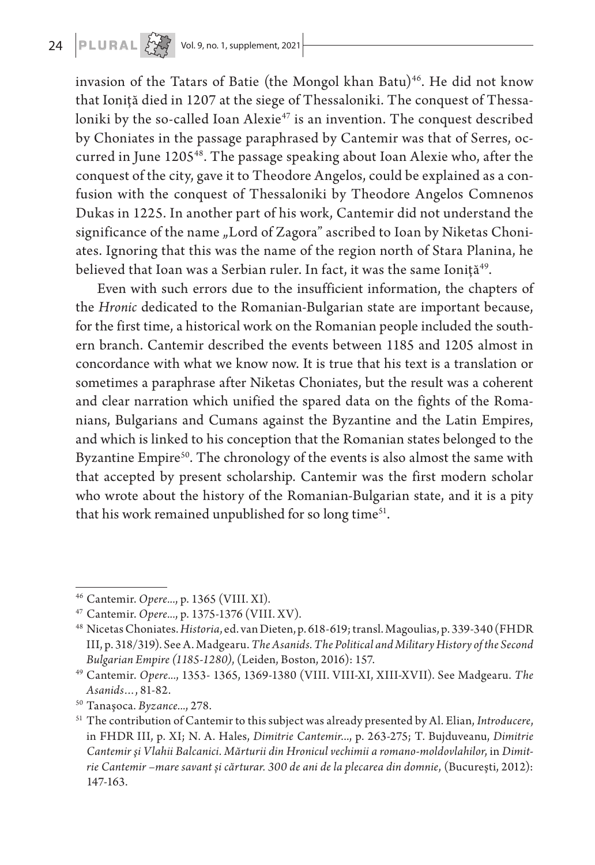**24 <b>PLURAL**  $\left\{\begin{matrix} 2 & 3 \\ 4 & 5 \end{matrix}\right\}$  Vol. 9, no. 1, supplement, 2021

invasion of the Tatars of Batie (the Mongol khan Batu)<sup>46</sup>. He did not know that Ioniţă died in 1207 at the siege of Thessaloniki. The conquest of Thessaloniki by the so-called Ioan Alexie<sup>47</sup> is an invention. The conquest described by Choniates in the passage paraphrased by Cantemir was that of Serres, occurred in June 1205<sup>48</sup>. The passage speaking about Ioan Alexie who, after the conquest of the city, gave it to Theodore Angelos, could be explained as a confusion with the conquest of Thessaloniki by Theodore Angelos Comnenos Dukas in 1225. In another part of his work, Cantemir did not understand the significance of the name "Lord of Zagora" ascribed to Ioan by Niketas Choniates. Ignoring that this was the name of the region north of Stara Planina, he believed that Ioan was a Serbian ruler. In fact, it was the same Ioniță<sup>49</sup>.

Even with such errors due to the insufficient information, the chapters of the *Hronic* dedicated to the Romanian-Bulgarian state are important because, for the first time, a historical work on the Romanian people included the southern branch. Cantemir described the events between 1185 and 1205 almost in concordance with what we know now. It is true that his text is a translation or sometimes a paraphrase after Niketas Choniates, but the result was a coherent and clear narration which unified the spared data on the fights of the Romanians, Bulgarians and Cumans against the Byzantine and the Latin Empires, and which is linked to his conception that the Romanian states belonged to the Byzantine Empire<sup>50</sup>. The chronology of the events is also almost the same with that accepted by present scholarship. Cantemir was the first modern scholar who wrote about the history of the Romanian-Bulgarian state, and it is a pity that his work remained unpublished for so long time<sup>51</sup>.

<sup>46</sup> Cantemir. *Opere...*, p. 1365 (VIII. XI).

<sup>47</sup> Cantemir. *Opere...*, p. 1375-1376 (VIII. XV).

<sup>48</sup> Nicetas Choniates. *Historia*, ed. van Dieten, p. 618-619; transl. Magoulias, p. 339-340 (FHDR III, p. 318/319). See A. Madgearu. *The Asanids. The Political and Military History of the Second Bulgarian Empire (1185-1280)*, (Leiden, Boston, 2016): 157.

<sup>49</sup> Cantemir. *Opere...*, 1353- 1365, 1369-1380 (VIII. VIII-XI, XIII-XVII). See Madgearu. *The Asanids…*, 81-82.

<sup>50</sup> Tanaşoca. *Byzance...*, 278.

<sup>51</sup> The contribution of Cantemir to this subject was already presented by Al. Elian, *Introducere*, in FHDR III, p. XI; N. A. Hales, *Dimitrie Cantemir*..., p. 263-275; T. Bujduveanu, *Dimitrie Cantemir şi Vlahii Balcanici. Mărturii din Hronicul vechimii a romano-moldovlahilor*, in *Dimitrie Cantemir –mare savant și cărturar. 300 de ani de la plecarea din domnie*, (Bucureşti, 2012): 147-163.